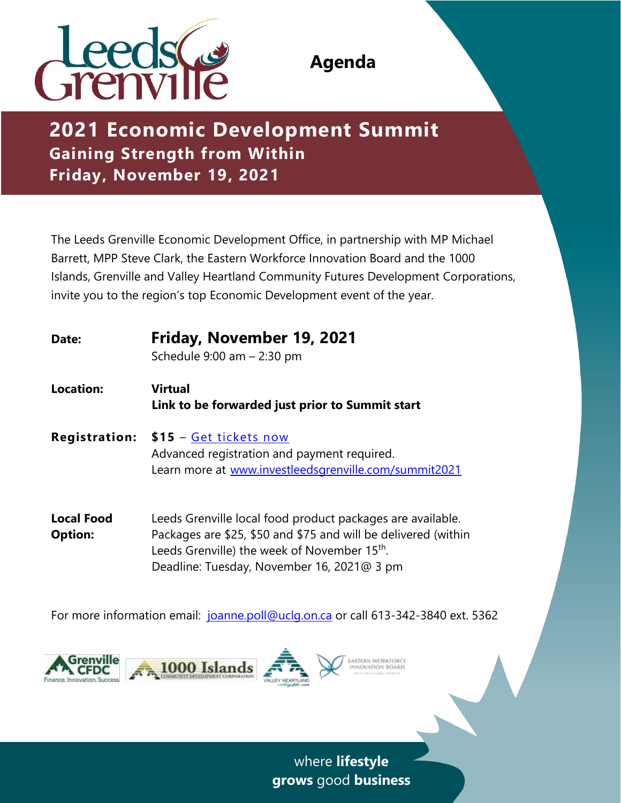

# **2021 Economic Development Summit Gaining Strength from Within Friday, November 19, 2021**

The Leeds Grenville Economic Development Office, in partnership with MP Michael Barrett, MPP Steve Clark, the Eastern Workforce Innovation Board and the 1000 Islands, Grenville and Valley Heartland Community Futures Development Corporations, invite you to the region's top Economic Development event of the year.

| Date:                               | Friday, November 19, 2021<br>Schedule $9:00$ am $-2:30$ pm                                                                                                                                                                             |
|-------------------------------------|----------------------------------------------------------------------------------------------------------------------------------------------------------------------------------------------------------------------------------------|
| <b>Location:</b>                    | <b>Virtual</b><br>Link to be forwarded just prior to Summit start                                                                                                                                                                      |
|                                     | <b>Registration: \$15 - Get tickets now</b><br>Advanced registration and payment required.<br>Learn more at www.investleedsgrenville.com/summit2021                                                                                    |
| <b>Local Food</b><br><b>Option:</b> | Leeds Grenville local food product packages are available.<br>Packages are \$25, \$50 and \$75 and will be delivered (within<br>Leeds Grenville) the week of November 15 <sup>th</sup> .<br>Deadline: Tuesday, November 16, 2021@ 3 pm |

For more information email: [joanne.poll@uclg.on.ca](mailto:joanne.poll@uclg.on.ca) or call 613-342-3840 ext. 5362





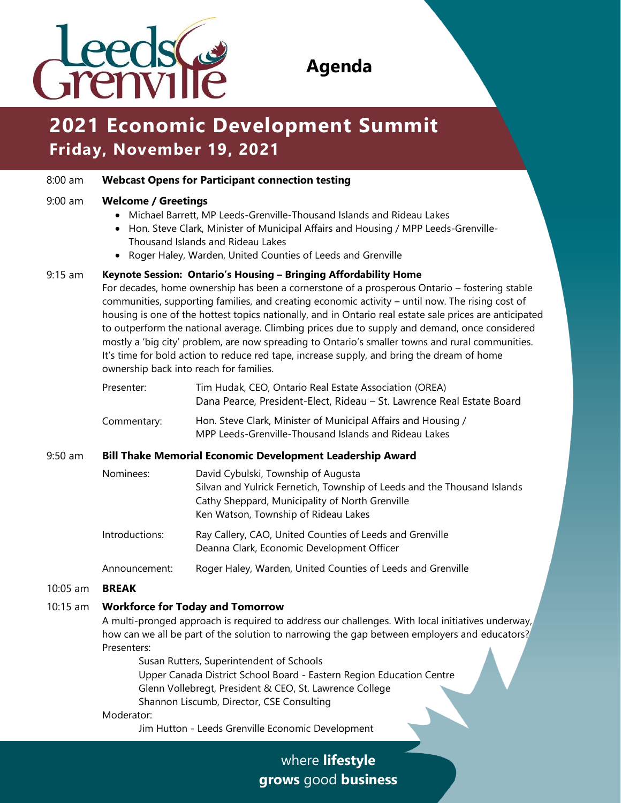

# **2021 Economic Development Summit Friday, November 19, 2021**

# 8:00 am **Webcast Opens for Participant connection testing**

### 9:00 am **Welcome / Greetings**

- Michael Barrett, MP Leeds-Grenville-Thousand Islands and Rideau Lakes
- Hon. Steve Clark, Minister of Municipal Affairs and Housing / MPP Leeds-Grenville-Thousand Islands and Rideau Lakes
- Roger Haley, Warden, United Counties of Leeds and Grenville

### 9:15 am **Keynote Session: Ontario's Housing – Bringing Affordability Home**

For decades, home ownership has been a cornerstone of a prosperous Ontario – fostering stable communities, supporting families, and creating economic activity – until now. The rising cost of housing is one of the hottest topics nationally, and in Ontario real estate sale prices are anticipated to outperform the national average. Climbing prices due to supply and demand, once considered mostly a 'big city' problem, are now spreading to Ontario's smaller towns and rural communities. It's time for bold action to reduce red tape, increase supply, and bring the dream of home ownership back into reach for families.

| Presenter:  | Tim Hudak, CEO, Ontario Real Estate Association (OREA)<br>Dana Pearce, President-Elect, Rideau – St. Lawrence Real Estate Board |
|-------------|---------------------------------------------------------------------------------------------------------------------------------|
| Commentary: | Hon. Steve Clark, Minister of Municipal Affairs and Housing /<br>MPP Leeds-Grenville-Thousand Islands and Rideau Lakes          |

## 9:50 am **Bill Thake Memorial Economic Development Leadership Award**

| Nominees:                  | David Cybulski, Township of Augusta                                      |
|----------------------------|--------------------------------------------------------------------------|
|                            | Silvan and Yulrick Fernetich, Township of Leeds and the Thousand Islands |
|                            | Cathy Sheppard, Municipality of North Grenville                          |
|                            | Ken Watson, Township of Rideau Lakes                                     |
| Introductions <sup>.</sup> | Ray Callery, CAO, United Counties of Leeds and Grenville                 |

Introductions: Ray Callery, CAO, United Counties of Leeds and Grenville Deanna Clark, Economic Development Officer

Announcement: Roger Haley, Warden, United Counties of Leeds and Grenville

#### 10:05 am **BREAK**

# 10:15 am **Workforce for Today and Tomorrow**

A multi-pronged approach is required to address our challenges. With local initiatives underway, how can we all be part of the solution to narrowing the gap between employers and educators? Presenters:

Susan Rutters, Superintendent of Schools Upper Canada District School Board - Eastern Region Education Centre Glenn Vollebregt, President & CEO, St. Lawrence College Shannon Liscumb, Director, CSE Consulting

#### Moderator:

Jim Hutton - Leeds Grenville Economic Development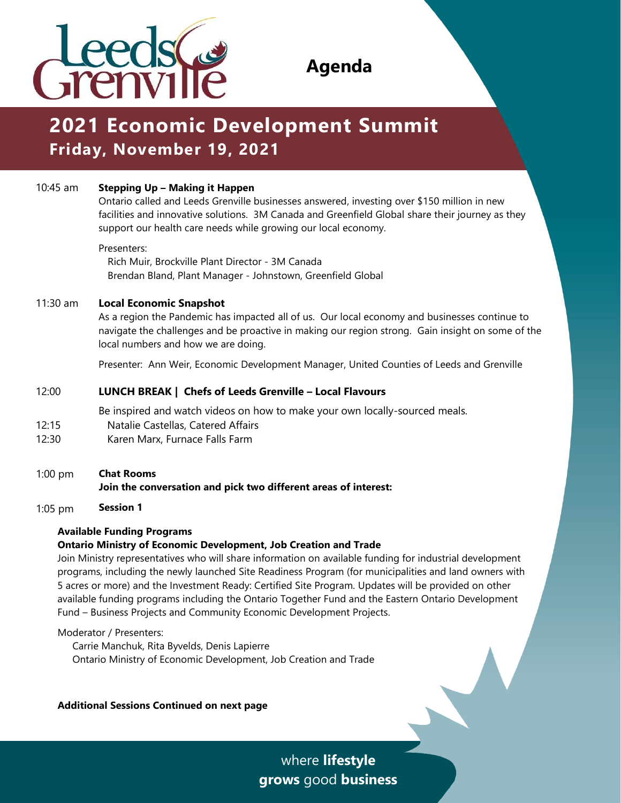

# **2021 Economic Development Summit Friday, November 19, 2021**

# 10:45 am **Stepping Up – Making it Happen**

Ontario called and Leeds Grenville businesses answered, investing over \$150 million in new facilities and innovative solutions. 3M Canada and Greenfield Global share their journey as they support our health care needs while growing our local economy.

#### Presenters:

Rich Muir, Brockville Plant Director - 3M Canada Brendan Bland, Plant Manager - Johnstown, Greenfield Global

### 11:30 am **Local Economic Snapshot**

As a region the Pandemic has impacted all of us. Our local economy and businesses continue to navigate the challenges and be proactive in making our region strong. Gain insight on some of the local numbers and how we are doing.

Presenter: Ann Weir, Economic Development Manager, United Counties of Leeds and Grenville

# 12:00 **LUNCH BREAK | Chefs of Leeds Grenville – Local Flavours**

Be inspired and watch videos on how to make your own locally-sourced meals.

- 12:15 Natalie Castellas, Catered Affairs
- 12:30 Karen Marx, Furnace Falls Farm
- 1:00 pm **Chat Rooms**

# **Join the conversation and pick two different areas of interest:**

1:05 pm **Session 1**

# **Available Funding Programs**

# **Ontario Ministry of Economic Development, Job Creation and Trade**

Join Ministry representatives who will share information on available funding for industrial development programs, including the newly launched Site Readiness Program (for municipalities and land owners with 5 acres or more) and the Investment Ready: Certified Site Program. Updates will be provided on other available funding programs including the Ontario Together Fund and the Eastern Ontario Development Fund – Business Projects and Community Economic Development Projects.

Moderator / Presenters:

Carrie Manchuk, Rita Byvelds, Denis Lapierre Ontario Ministry of Economic Development, Job Creation and Trade

**Additional Sessions Continued on next page**